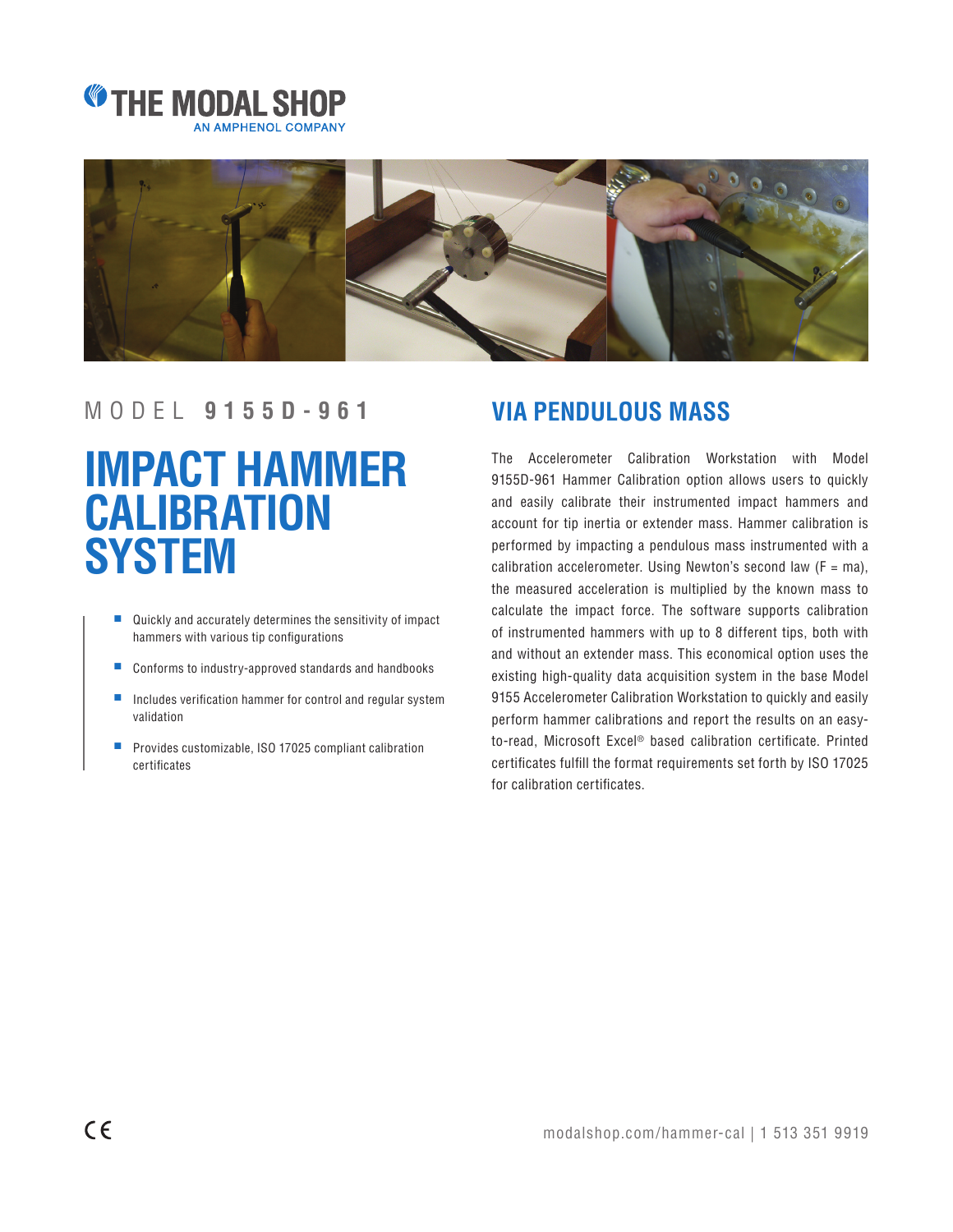



## MODEL **9155D-961 VIA PENDULOUS MASS**

# **IMPACT HAMMER CALIBRATION SYSTEM**

- Quickly and accurately determines the sensitivity of impact hammers with various tip configurations
- Conforms to industry-approved standards and handbooks
- Includes verification hammer for control and regular system validation
- Provides customizable, ISO 17025 compliant calibration certificates

The Accelerometer Calibration Workstation with Model 9155D-961 Hammer Calibration option allows users to quickly and easily calibrate their instrumented impact hammers and account for tip inertia or extender mass. Hammer calibration is performed by impacting a pendulous mass instrumented with a calibration accelerometer. Using Newton's second law  $(F = ma)$ , the measured acceleration is multiplied by the known mass to calculate the impact force. The software supports calibration of instrumented hammers with up to 8 different tips, both with and without an extender mass. This economical option uses the existing high-quality data acquisition system in the base Model 9155 Accelerometer Calibration Workstation to quickly and easily perform hammer calibrations and report the results on an easyto-read, Microsoft Excel® based calibration certificate. Printed certificates fulfill the format requirements set forth by ISO 17025 for calibration certificates.